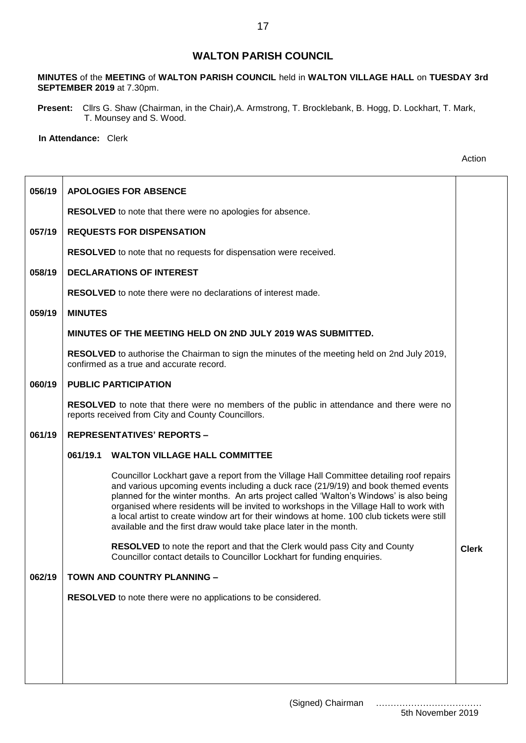## **WALTON PARISH COUNCIL**

**MINUTES** of the **MEETING** of **WALTON PARISH COUNCIL** held in **WALTON VILLAGE HALL** on **TUESDAY 3rd SEPTEMBER 2019** at 7.30pm.

**Present:** Cllrs G. Shaw (Chairman, in the Chair),A. Armstrong, T. Brocklebank, B. Hogg, D. Lockhart, T. Mark, T. Mounsey and S. Wood.

**In Attendance:** Clerk

| 056/19 | <b>APOLOGIES FOR ABSENCE</b>                                                                                                                                                                                                                                                                                                                                                                                                                                                                                                           |              |  |  |
|--------|----------------------------------------------------------------------------------------------------------------------------------------------------------------------------------------------------------------------------------------------------------------------------------------------------------------------------------------------------------------------------------------------------------------------------------------------------------------------------------------------------------------------------------------|--------------|--|--|
|        | <b>RESOLVED</b> to note that there were no apologies for absence.                                                                                                                                                                                                                                                                                                                                                                                                                                                                      |              |  |  |
| 057/19 | <b>REQUESTS FOR DISPENSATION</b>                                                                                                                                                                                                                                                                                                                                                                                                                                                                                                       |              |  |  |
|        | <b>RESOLVED</b> to note that no requests for dispensation were received.                                                                                                                                                                                                                                                                                                                                                                                                                                                               |              |  |  |
| 058/19 | <b>DECLARATIONS OF INTEREST</b>                                                                                                                                                                                                                                                                                                                                                                                                                                                                                                        |              |  |  |
|        | <b>RESOLVED</b> to note there were no declarations of interest made.                                                                                                                                                                                                                                                                                                                                                                                                                                                                   |              |  |  |
| 059/19 | <b>MINUTES</b>                                                                                                                                                                                                                                                                                                                                                                                                                                                                                                                         |              |  |  |
|        | MINUTES OF THE MEETING HELD ON 2ND JULY 2019 WAS SUBMITTED.                                                                                                                                                                                                                                                                                                                                                                                                                                                                            |              |  |  |
|        | RESOLVED to authorise the Chairman to sign the minutes of the meeting held on 2nd July 2019,<br>confirmed as a true and accurate record.                                                                                                                                                                                                                                                                                                                                                                                               |              |  |  |
| 060/19 | <b>PUBLIC PARTICIPATION</b>                                                                                                                                                                                                                                                                                                                                                                                                                                                                                                            |              |  |  |
|        | RESOLVED to note that there were no members of the public in attendance and there were no<br>reports received from City and County Councillors.                                                                                                                                                                                                                                                                                                                                                                                        |              |  |  |
| 061/19 | <b>REPRESENTATIVES' REPORTS -</b>                                                                                                                                                                                                                                                                                                                                                                                                                                                                                                      |              |  |  |
|        | <b>WALTON VILLAGE HALL COMMITTEE</b><br>061/19.1                                                                                                                                                                                                                                                                                                                                                                                                                                                                                       |              |  |  |
|        | Councillor Lockhart gave a report from the Village Hall Committee detailing roof repairs<br>and various upcoming events including a duck race (21/9/19) and book themed events<br>planned for the winter months. An arts project called 'Walton's Windows' is also being<br>organised where residents will be invited to workshops in the Village Hall to work with<br>a local artist to create window art for their windows at home. 100 club tickets were still<br>available and the first draw would take place later in the month. |              |  |  |
|        | <b>RESOLVED</b> to note the report and that the Clerk would pass City and County<br>Councillor contact details to Councillor Lockhart for funding enquiries.                                                                                                                                                                                                                                                                                                                                                                           | <b>Clerk</b> |  |  |
| 062/19 | TOWN AND COUNTRY PLANNING -                                                                                                                                                                                                                                                                                                                                                                                                                                                                                                            |              |  |  |
|        | RESOLVED to note there were no applications to be considered.                                                                                                                                                                                                                                                                                                                                                                                                                                                                          |              |  |  |
|        |                                                                                                                                                                                                                                                                                                                                                                                                                                                                                                                                        |              |  |  |
|        |                                                                                                                                                                                                                                                                                                                                                                                                                                                                                                                                        |              |  |  |
|        |                                                                                                                                                                                                                                                                                                                                                                                                                                                                                                                                        |              |  |  |
|        |                                                                                                                                                                                                                                                                                                                                                                                                                                                                                                                                        |              |  |  |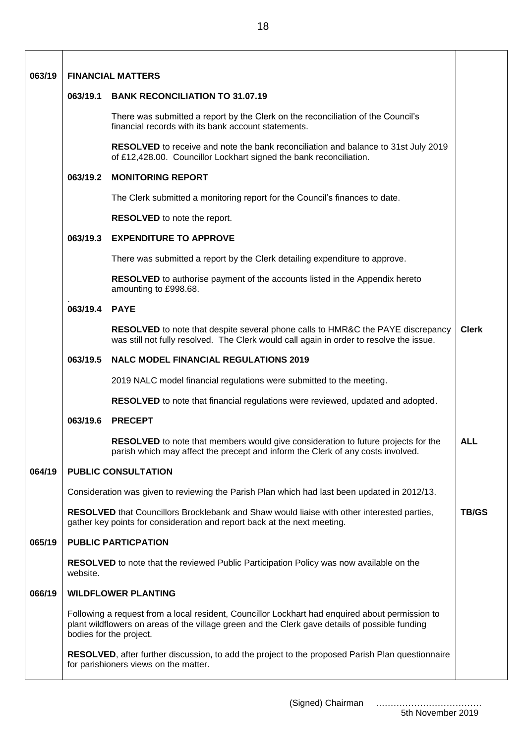| 063/19 | <b>FINANCIAL MATTERS</b>                                                                                                                                                                                                     |                                                                                                                                                                                   |              |  |  |
|--------|------------------------------------------------------------------------------------------------------------------------------------------------------------------------------------------------------------------------------|-----------------------------------------------------------------------------------------------------------------------------------------------------------------------------------|--------------|--|--|
|        | 063/19.1<br><b>BANK RECONCILIATION TO 31.07.19</b>                                                                                                                                                                           |                                                                                                                                                                                   |              |  |  |
|        |                                                                                                                                                                                                                              | There was submitted a report by the Clerk on the reconciliation of the Council's<br>financial records with its bank account statements.                                           |              |  |  |
|        |                                                                                                                                                                                                                              | RESOLVED to receive and note the bank reconciliation and balance to 31st July 2019<br>of £12,428.00. Councillor Lockhart signed the bank reconciliation.                          |              |  |  |
|        | 063/19.2                                                                                                                                                                                                                     | <b>MONITORING REPORT</b>                                                                                                                                                          |              |  |  |
|        | The Clerk submitted a monitoring report for the Council's finances to date.                                                                                                                                                  |                                                                                                                                                                                   |              |  |  |
|        | RESOLVED to note the report.                                                                                                                                                                                                 |                                                                                                                                                                                   |              |  |  |
|        | 063/19.3                                                                                                                                                                                                                     | <b>EXPENDITURE TO APPROVE</b>                                                                                                                                                     |              |  |  |
|        | There was submitted a report by the Clerk detailing expenditure to approve.                                                                                                                                                  |                                                                                                                                                                                   |              |  |  |
|        |                                                                                                                                                                                                                              | <b>RESOLVED</b> to authorise payment of the accounts listed in the Appendix hereto<br>amounting to £998.68.                                                                       |              |  |  |
|        | 063/19.4<br><b>PAYE</b>                                                                                                                                                                                                      |                                                                                                                                                                                   |              |  |  |
|        |                                                                                                                                                                                                                              | <b>RESOLVED</b> to note that despite several phone calls to HMR&C the PAYE discrepancy<br>was still not fully resolved. The Clerk would call again in order to resolve the issue. | <b>Clerk</b> |  |  |
|        | <b>NALC MODEL FINANCIAL REGULATIONS 2019</b><br>063/19.5                                                                                                                                                                     |                                                                                                                                                                                   |              |  |  |
|        |                                                                                                                                                                                                                              | 2019 NALC model financial regulations were submitted to the meeting.                                                                                                              |              |  |  |
|        |                                                                                                                                                                                                                              | RESOLVED to note that financial regulations were reviewed, updated and adopted.                                                                                                   |              |  |  |
|        | 063/19.6                                                                                                                                                                                                                     | <b>PRECEPT</b>                                                                                                                                                                    |              |  |  |
|        |                                                                                                                                                                                                                              | <b>RESOLVED</b> to note that members would give consideration to future projects for the<br>parish which may affect the precept and inform the Clerk of any costs involved.       | <b>ALL</b>   |  |  |
| 064/19 |                                                                                                                                                                                                                              | <b>PUBLIC CONSULTATION</b>                                                                                                                                                        |              |  |  |
|        | Consideration was given to reviewing the Parish Plan which had last been updated in 2012/13.                                                                                                                                 |                                                                                                                                                                                   |              |  |  |
|        | RESOLVED that Councillors Brocklebank and Shaw would liaise with other interested parties,<br><b>TB/GS</b><br>gather key points for consideration and report back at the next meeting.                                       |                                                                                                                                                                                   |              |  |  |
| 065/19 | <b>PUBLIC PARTICPATION</b>                                                                                                                                                                                                   |                                                                                                                                                                                   |              |  |  |
|        | RESOLVED to note that the reviewed Public Participation Policy was now available on the<br>website.                                                                                                                          |                                                                                                                                                                                   |              |  |  |
| 066/19 |                                                                                                                                                                                                                              | <b>WILDFLOWER PLANTING</b>                                                                                                                                                        |              |  |  |
|        | Following a request from a local resident, Councillor Lockhart had enquired about permission to<br>plant wildflowers on areas of the village green and the Clerk gave details of possible funding<br>bodies for the project. |                                                                                                                                                                                   |              |  |  |
|        | RESOLVED, after further discussion, to add the project to the proposed Parish Plan questionnaire<br>for parishioners views on the matter.                                                                                    |                                                                                                                                                                                   |              |  |  |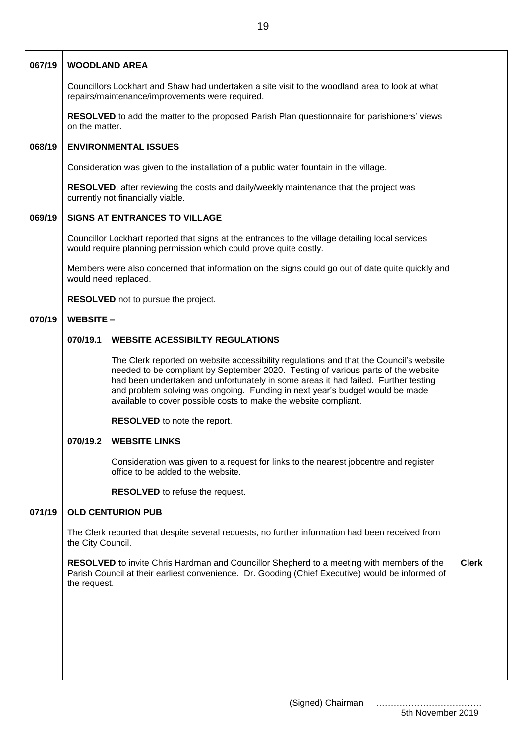| 067/19 | <b>WOODLAND AREA</b>                                                                                                                                                                                                 |                                                                                                                                                                                                                                                                                                                                                                                                                       |  |  |  |
|--------|----------------------------------------------------------------------------------------------------------------------------------------------------------------------------------------------------------------------|-----------------------------------------------------------------------------------------------------------------------------------------------------------------------------------------------------------------------------------------------------------------------------------------------------------------------------------------------------------------------------------------------------------------------|--|--|--|
|        | Councillors Lockhart and Shaw had undertaken a site visit to the woodland area to look at what<br>repairs/maintenance/improvements were required.                                                                    |                                                                                                                                                                                                                                                                                                                                                                                                                       |  |  |  |
|        | RESOLVED to add the matter to the proposed Parish Plan questionnaire for parishioners' views<br>on the matter.                                                                                                       |                                                                                                                                                                                                                                                                                                                                                                                                                       |  |  |  |
| 068/19 | <b>ENVIRONMENTAL ISSUES</b>                                                                                                                                                                                          |                                                                                                                                                                                                                                                                                                                                                                                                                       |  |  |  |
|        |                                                                                                                                                                                                                      | Consideration was given to the installation of a public water fountain in the village.                                                                                                                                                                                                                                                                                                                                |  |  |  |
|        | RESOLVED, after reviewing the costs and daily/weekly maintenance that the project was<br>currently not financially viable.                                                                                           |                                                                                                                                                                                                                                                                                                                                                                                                                       |  |  |  |
| 069/19 | <b>SIGNS AT ENTRANCES TO VILLAGE</b>                                                                                                                                                                                 |                                                                                                                                                                                                                                                                                                                                                                                                                       |  |  |  |
|        | Councillor Lockhart reported that signs at the entrances to the village detailing local services<br>would require planning permission which could prove quite costly.                                                |                                                                                                                                                                                                                                                                                                                                                                                                                       |  |  |  |
|        | Members were also concerned that information on the signs could go out of date quite quickly and<br>would need replaced.                                                                                             |                                                                                                                                                                                                                                                                                                                                                                                                                       |  |  |  |
|        |                                                                                                                                                                                                                      | RESOLVED not to pursue the project.                                                                                                                                                                                                                                                                                                                                                                                   |  |  |  |
| 070/19 | <b>WEBSITE-</b>                                                                                                                                                                                                      |                                                                                                                                                                                                                                                                                                                                                                                                                       |  |  |  |
|        | 070/19.1                                                                                                                                                                                                             | <b>WEBSITE ACESSIBILTY REGULATIONS</b>                                                                                                                                                                                                                                                                                                                                                                                |  |  |  |
|        |                                                                                                                                                                                                                      | The Clerk reported on website accessibility regulations and that the Council's website<br>needed to be compliant by September 2020. Testing of various parts of the website<br>had been undertaken and unfortunately in some areas it had failed. Further testing<br>and problem solving was ongoing. Funding in next year's budget would be made<br>available to cover possible costs to make the website compliant. |  |  |  |
|        |                                                                                                                                                                                                                      | <b>RESOLVED</b> to note the report.                                                                                                                                                                                                                                                                                                                                                                                   |  |  |  |
|        | 070/19.2                                                                                                                                                                                                             | <b>WEBSITE LINKS</b>                                                                                                                                                                                                                                                                                                                                                                                                  |  |  |  |
|        |                                                                                                                                                                                                                      | Consideration was given to a request for links to the nearest jobcentre and register<br>office to be added to the website.                                                                                                                                                                                                                                                                                            |  |  |  |
|        |                                                                                                                                                                                                                      | RESOLVED to refuse the request.                                                                                                                                                                                                                                                                                                                                                                                       |  |  |  |
| 071/19 |                                                                                                                                                                                                                      | <b>OLD CENTURION PUB</b>                                                                                                                                                                                                                                                                                                                                                                                              |  |  |  |
|        | The Clerk reported that despite several requests, no further information had been received from<br>the City Council.                                                                                                 |                                                                                                                                                                                                                                                                                                                                                                                                                       |  |  |  |
|        | <b>RESOLVED</b> to invite Chris Hardman and Councillor Shepherd to a meeting with members of the<br>Parish Council at their earliest convenience. Dr. Gooding (Chief Executive) would be informed of<br>the request. |                                                                                                                                                                                                                                                                                                                                                                                                                       |  |  |  |
|        |                                                                                                                                                                                                                      |                                                                                                                                                                                                                                                                                                                                                                                                                       |  |  |  |
|        |                                                                                                                                                                                                                      |                                                                                                                                                                                                                                                                                                                                                                                                                       |  |  |  |
|        |                                                                                                                                                                                                                      |                                                                                                                                                                                                                                                                                                                                                                                                                       |  |  |  |
|        |                                                                                                                                                                                                                      |                                                                                                                                                                                                                                                                                                                                                                                                                       |  |  |  |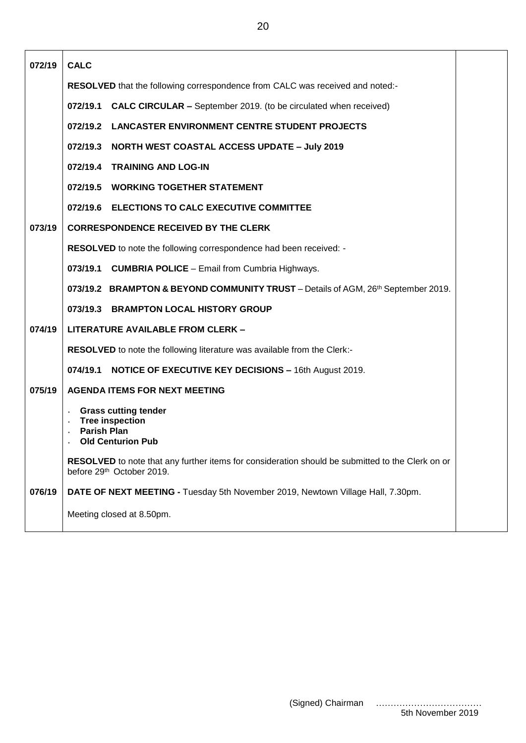**072/19 073/19 074/19 075/19 076/19 CALC RESOLVED** that the following correspondence from CALC was received and noted:- **072/19.1 CALC CIRCULAR –** September 2019. (to be circulated when received) **072/19.2 LANCASTER ENVIRONMENT CENTRE STUDENT PROJECTS 072/19.3 NORTH WEST COASTAL ACCESS UPDATE – July 2019 072/19.4 TRAINING AND LOG-IN 072/19.5 WORKING TOGETHER STATEMENT 072/19.6 ELECTIONS TO CALC EXECUTIVE COMMITTEE CORRESPONDENCE RECEIVED BY THE CLERK RESOLVED** to note the following correspondence had been received: - **073/19.1 CUMBRIA POLICE** – Email from Cumbria Highways. **073/19.2 BRAMPTON & BEYOND COMMUNITY TRUST** – Details of AGM, 26<sup>th</sup> September 2019. **073/19.3 BRAMPTON LOCAL HISTORY GROUP LITERATURE AVAILABLE FROM CLERK – RESOLVED** to note the following literature was available from the Clerk:- **074/19.1 NOTICE OF EXECUTIVE KEY DECISIONS –** 16th August 2019. **AGENDA ITEMS FOR NEXT MEETING ˖ Grass cutting tender ˖ Tree inspection ˖ Parish Plan Old Centurion Pub RESOLVED** to note that any further items for consideration should be submitted to the Clerk on or before 29<sup>th</sup> October 2019. **DATE OF NEXT MEETING -** Tuesday 5th November 2019, Newtown Village Hall, 7.30pm. Meeting closed at 8.50pm.